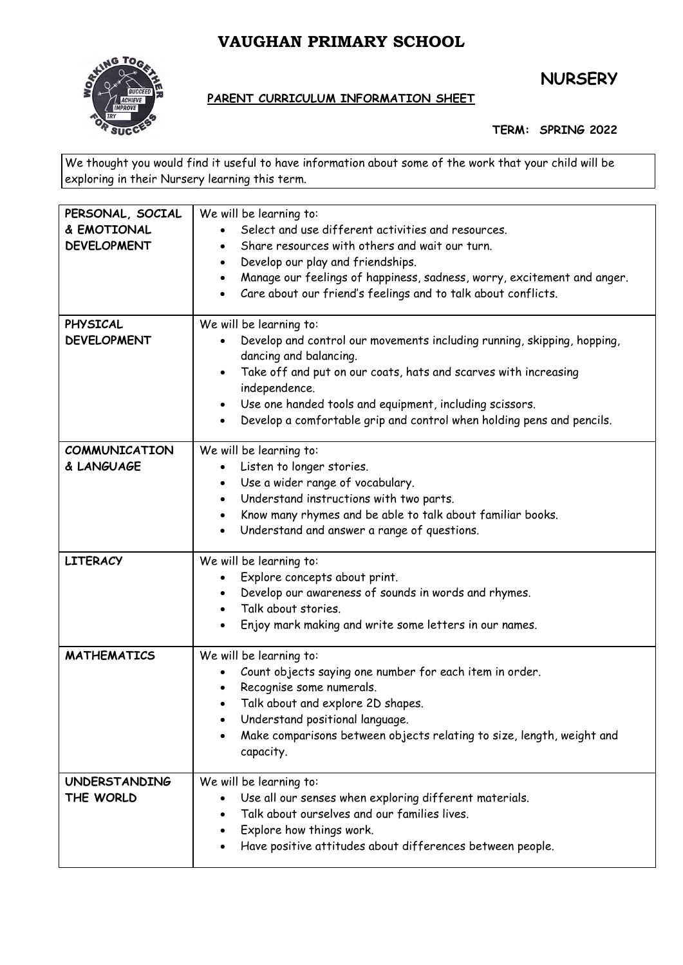## **VAUGHAN PRIMARY SCHOOL**



## **NURSERY**

## **PARENT CURRICULUM INFORMATION SHEET**

**TERM: SPRING 2022**

We thought you would find it useful to have information about some of the work that your child will be exploring in their Nursery learning this term.

| PERSONAL, SOCIAL     | We will be learning to:                                                              |
|----------------------|--------------------------------------------------------------------------------------|
| & EMOTIONAL          | Select and use different activities and resources.                                   |
| <b>DEVELOPMENT</b>   | Share resources with others and wait our turn.                                       |
|                      | Develop our play and friendships.<br>$\bullet$                                       |
|                      | Manage our feelings of happiness, sadness, worry, excitement and anger.<br>$\bullet$ |
|                      | Care about our friend's feelings and to talk about conflicts.                        |
|                      |                                                                                      |
| <b>PHYSICAL</b>      | We will be learning to:                                                              |
| <b>DEVELOPMENT</b>   | Develop and control our movements including running, skipping, hopping,              |
|                      | dancing and balancing.                                                               |
|                      | Take off and put on our coats, hats and scarves with increasing<br>$\bullet$         |
|                      | independence.                                                                        |
|                      | Use one handed tools and equipment, including scissors.<br>$\bullet$                 |
|                      | Develop a comfortable grip and control when holding pens and pencils.<br>$\bullet$   |
|                      |                                                                                      |
| <b>COMMUNICATION</b> | We will be learning to:                                                              |
| & LANGUAGE           | Listen to longer stories.                                                            |
|                      | Use a wider range of vocabulary.                                                     |
|                      | Understand instructions with two parts.<br>$\bullet$                                 |
|                      |                                                                                      |
|                      | Know many rhymes and be able to talk about familiar books.<br>$\bullet$              |
|                      | Understand and answer a range of questions.<br>$\bullet$                             |
| <b>LITERACY</b>      | We will be learning to:                                                              |
|                      | Explore concepts about print.                                                        |
|                      | Develop our awareness of sounds in words and rhymes.                                 |
|                      | Talk about stories.<br>$\bullet$                                                     |
|                      | Enjoy mark making and write some letters in our names.                               |
|                      |                                                                                      |
| <b>MATHEMATICS</b>   | We will be learning to:                                                              |
|                      | Count objects saying one number for each item in order.                              |
|                      | Recognise some numerals.                                                             |
|                      | Talk about and explore 2D shapes.                                                    |
|                      | Understand positional language.                                                      |
|                      | Make comparisons between objects relating to size, length, weight and                |
|                      | capacity.                                                                            |
|                      |                                                                                      |
| <b>UNDERSTANDING</b> | We will be learning to:                                                              |
| THE WORLD            | Use all our senses when exploring different materials.                               |
|                      | Talk about ourselves and our families lives.                                         |
|                      | Explore how things work.                                                             |
|                      | Have positive attitudes about differences between people.<br>$\bullet$               |
|                      |                                                                                      |